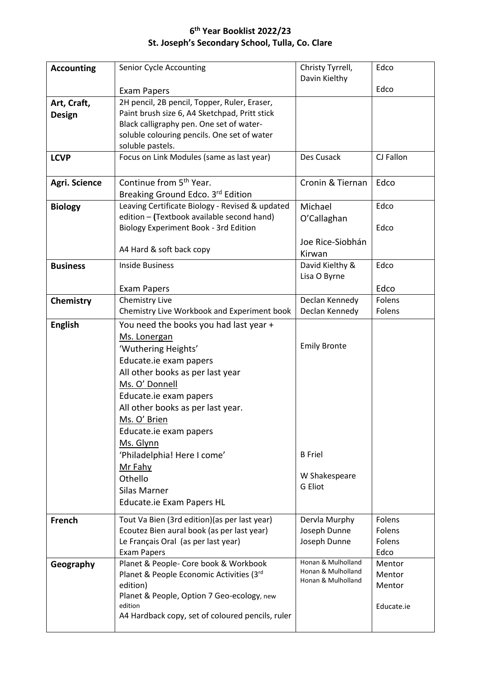## **6 th Year Booklist 2022/23 St. Joseph's Secondary School, Tulla, Co. Clare**

| <b>Accounting</b> | <b>Senior Cycle Accounting</b>                                                                | Christy Tyrrell,                         | Edco             |
|-------------------|-----------------------------------------------------------------------------------------------|------------------------------------------|------------------|
|                   |                                                                                               | Davin Kielthy                            |                  |
|                   | <b>Exam Papers</b>                                                                            |                                          | Edco             |
| Art, Craft,       | 2H pencil, 2B pencil, Topper, Ruler, Eraser,<br>Paint brush size 6, A4 Sketchpad, Pritt stick |                                          |                  |
| <b>Design</b>     | Black calligraphy pen. One set of water-                                                      |                                          |                  |
|                   | soluble colouring pencils. One set of water                                                   |                                          |                  |
|                   | soluble pastels.                                                                              |                                          |                  |
| <b>LCVP</b>       | Focus on Link Modules (same as last year)                                                     | Des Cusack                               | CJ Fallon        |
| Agri. Science     | Continue from 5 <sup>th</sup> Year.                                                           | Cronin & Tiernan                         | Edco             |
|                   | Breaking Ground Edco. 3rd Edition                                                             |                                          |                  |
| <b>Biology</b>    | Leaving Certificate Biology - Revised & updated                                               | Michael                                  | Edco             |
|                   | edition - (Textbook available second hand)                                                    | O'Callaghan                              |                  |
|                   | Biology Experiment Book - 3rd Edition                                                         |                                          | Edco             |
|                   |                                                                                               | Joe Rice-Siobhán                         |                  |
|                   | A4 Hard & soft back copy                                                                      | Kirwan                                   |                  |
| <b>Business</b>   | <b>Inside Business</b>                                                                        | David Kielthy &                          | Edco             |
|                   |                                                                                               | Lisa O Byrne                             |                  |
|                   | Exam Papers                                                                                   |                                          | Edco<br>Folens   |
| Chemistry         | Chemistry Live<br>Chemistry Live Workbook and Experiment book                                 | Declan Kennedy<br>Declan Kennedy         | Folens           |
| <b>English</b>    | You need the books you had last year +                                                        |                                          |                  |
|                   | Ms. Lonergan                                                                                  |                                          |                  |
|                   | 'Wuthering Heights'                                                                           | <b>Emily Bronte</b>                      |                  |
|                   | Educate.ie exam papers                                                                        |                                          |                  |
|                   | All other books as per last year                                                              |                                          |                  |
|                   | Ms. O' Donnell                                                                                |                                          |                  |
|                   | Educate.ie exam papers                                                                        |                                          |                  |
|                   | All other books as per last year.                                                             |                                          |                  |
|                   | Ms. O' Brien                                                                                  |                                          |                  |
|                   | Educate.ie exam papers                                                                        |                                          |                  |
|                   | Ms. Glynn                                                                                     |                                          |                  |
|                   | 'Philadelphia! Here I come'                                                                   | <b>B</b> Friel                           |                  |
|                   | Mr Fahy                                                                                       | W Shakespeare                            |                  |
|                   | Othello<br><b>Silas Marner</b>                                                                | <b>G</b> Eliot                           |                  |
|                   | Educate.ie Exam Papers HL                                                                     |                                          |                  |
|                   |                                                                                               |                                          |                  |
| French            | Tout Va Bien (3rd edition) (as per last year)                                                 | Dervla Murphy                            | Folens           |
|                   | Ecoutez Bien aural book (as per last year)                                                    | Joseph Dunne                             | Folens<br>Folens |
|                   | Le Français Oral (as per last year)<br><b>Exam Papers</b>                                     | Joseph Dunne                             | Edco             |
| Geography         | Planet & People- Core book & Workbook                                                         | Honan & Mulholland                       | Mentor           |
|                   | Planet & People Economic Activities (3rd                                                      | Honan & Mulholland<br>Honan & Mulholland | Mentor           |
|                   | edition)                                                                                      |                                          | Mentor           |
|                   | Planet & People, Option 7 Geo-ecology, new<br>edition                                         |                                          |                  |
|                   | A4 Hardback copy, set of coloured pencils, ruler                                              |                                          | Educate.ie       |
|                   |                                                                                               |                                          |                  |